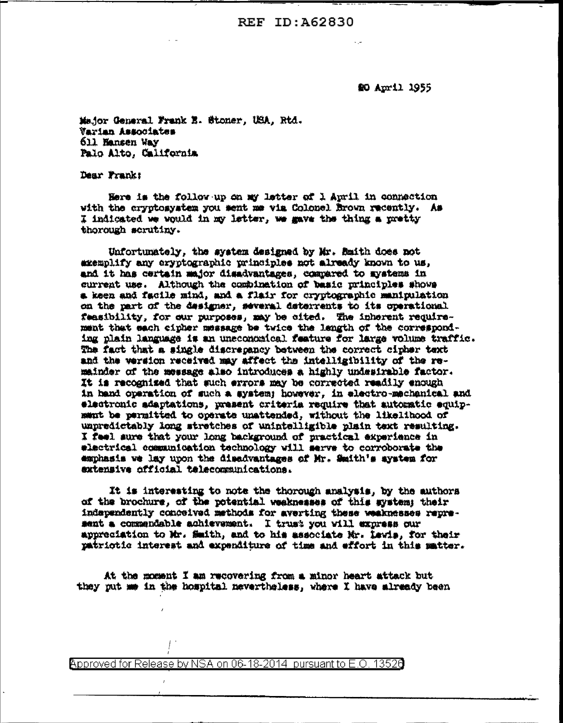**REF ID: A62830** 

\$0 April 1955

Major General Frank E. Stoner, USA, Rtd. Varian Associates 611 Hansen Way Palo Alto, California

Dear Frank:

Here is the follow up on my letter of 1 April in connection with the cryptosystem you sent me via Colonel Brown recently. As I indicated we would in my letter, we gave the thing a pretty thorough scrutiny.

Unfortunately, the system designed by Mr. Smith does not axemplify any cryptographic principles not already known to us, and it has certain major disadvantages, compared to systems in current use. Although the combination of basic principles shows a keen and facile mind, and a flair for cryptographic manipulation on the part of the designer, several deterrents to its operational feasibility, for our purposes, may be cited. The inherent requirement that each cipher message be twice the langth of the corresponding plain language is an uneconomical feature for large volume traffic. The fact that a single discrepancy between the correct cipher text and the version received may affect the intelligibility of the remainder of the message also introduces a highly undesirable factor. It is recognized that such exrors may be corrected readily enough in hand operation of such a system; however, in electro-mechanical and electronic adaptations, present criteria require that automatic equipment be permitted to operate unattended, without the likelihood of unpredictably long stretches of unintelligible plain text resulting. I feel sure that your long background of practical experience in electrical communication technology will serve to corroborate the emphasis we lay upon the disadvantages of Mr. Smith's system for extensive official telecommunications.

It is interesting to note the thorough analysis, by the authors of the brochure, of the potential weaknesses of this system; their independently conceived methods for averting these weaknesses represent a commendable achievement. I trust you will express our appreciation to Mr. Smith, and to his associate Mr. Lawis, for their patriotic interest and expenditure of time and effort in this matter.

At the moment I am recovering from a minor heart attack but they put me in the hospital nevertheless, where I have already been

Approved for Release by NSA on 06-18-2014 pursuant to E.O. 13520